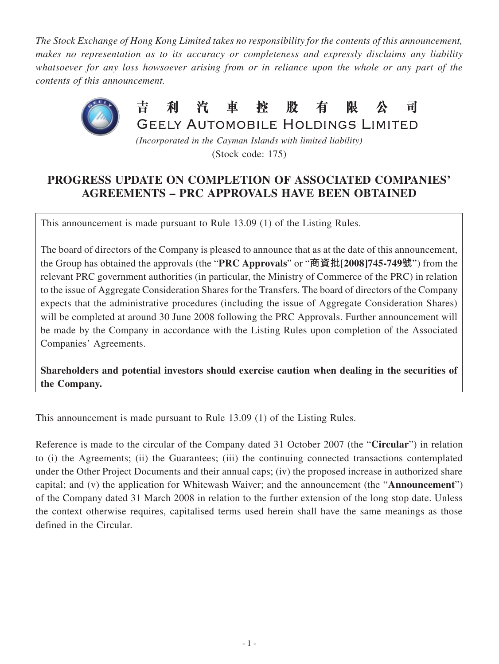*The Stock Exchange of Hong Kong Limited takes no responsibility for the contents of this announcement, makes no representation as to its accuracy or completeness and expressly disclaims any liability whatsoever for any loss howsoever arising from or in reliance upon the whole or any part of the contents of this announcement.*



*(Incorporated in the Cayman Islands with limited liability)* (Stock code: 175)

## **PROGRESS UPDATE ON COMPLETION OF ASSOCIATED COMPANIES' AGREEMENTS – PRC APPROVALS HAVE BEEN OBTAINED**

This announcement is made pursuant to Rule 13.09 (1) of the Listing Rules.

The board of directors of the Company is pleased to announce that as at the date of this announcement, the Group has obtained the approvals (the "**PRC Approvals**" or "**商資批[2008]745-749號**") from the relevant PRC government authorities (in particular, the Ministry of Commerce of the PRC) in relation to the issue of Aggregate Consideration Shares for the Transfers. The board of directors of the Company expects that the administrative procedures (including the issue of Aggregate Consideration Shares) will be completed at around 30 June 2008 following the PRC Approvals. Further announcement will be made by the Company in accordance with the Listing Rules upon completion of the Associated Companies' Agreements.

**Shareholders and potential investors should exercise caution when dealing in the securities of the Company.**

This announcement is made pursuant to Rule 13.09 (1) of the Listing Rules.

Reference is made to the circular of the Company dated 31 October 2007 (the "**Circular**") in relation to (i) the Agreements; (ii) the Guarantees; (iii) the continuing connected transactions contemplated under the Other Project Documents and their annual caps; (iv) the proposed increase in authorized share capital; and (v) the application for Whitewash Waiver; and the announcement (the "**Announcement**") of the Company dated 31 March 2008 in relation to the further extension of the long stop date. Unless the context otherwise requires, capitalised terms used herein shall have the same meanings as those defined in the Circular.